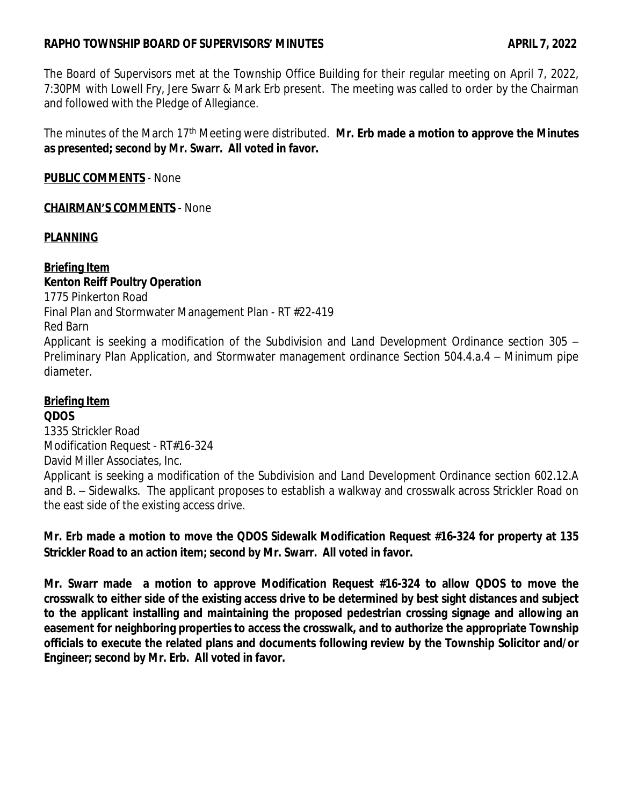## **RAPHO TOWNSHIP BOARD OF SUPERVISORS' MINUTES APRIL 7, 2022**

The Board of Supervisors met at the Township Office Building for their regular meeting on April 7, 2022, 7:30PM with Lowell Fry, Jere Swarr & Mark Erb present. The meeting was called to order by the Chairman and followed with the Pledge of Allegiance.

The minutes of the March 17th Meeting were distributed. **Mr. Erb made a motion to approve the Minutes as presented; second by Mr. Swarr. All voted in favor.**

**PUBLIC COMMENTS** - None

### **CHAIRMAN'S COMMENTS** - None

### **PLANNING**

### **Briefing Item Kenton Reiff Poultry Operation**

1775 Pinkerton Road Final Plan and Stormwater Management Plan - RT #22-419 Red Barn Applicant is seeking a modification of the Subdivision and Land Development Ordinance section 305 – Preliminary Plan Application, and Stormwater management ordinance Section 504.4.a.4 – Minimum pipe diameter.

# **Briefing Item**

### **QDOS**

1335 Strickler Road Modification Request - RT#16-324 David Miller Associates, Inc. Applicant is seeking a modification of the Subdivision and Land Development Ordinance section 602.12.A and B. – Sidewalks. The applicant proposes to establish a walkway and crosswalk across Strickler Road on the east side of the existing access drive.

# **Mr. Erb made a motion to move the QDOS Sidewalk Modification Request #16-324 for property at 135 Strickler Road to an action item; second by Mr. Swarr. All voted in favor.**

**Mr. Swarr made a motion to approve Modification Request #16-324 to allow QDOS to move the** crosswalk to either side of the existing access drive to be determined by best sight distances and subject **to the applicant installing and maintaining the proposed pedestrian crossing signage and allowing an easement for neighboring properties to access the crosswalk, and to authorize the appropriate Township officials to execute the related plans and documents following review by the Township Solicitor and/or Engineer; second by Mr. Erb. All voted in favor.**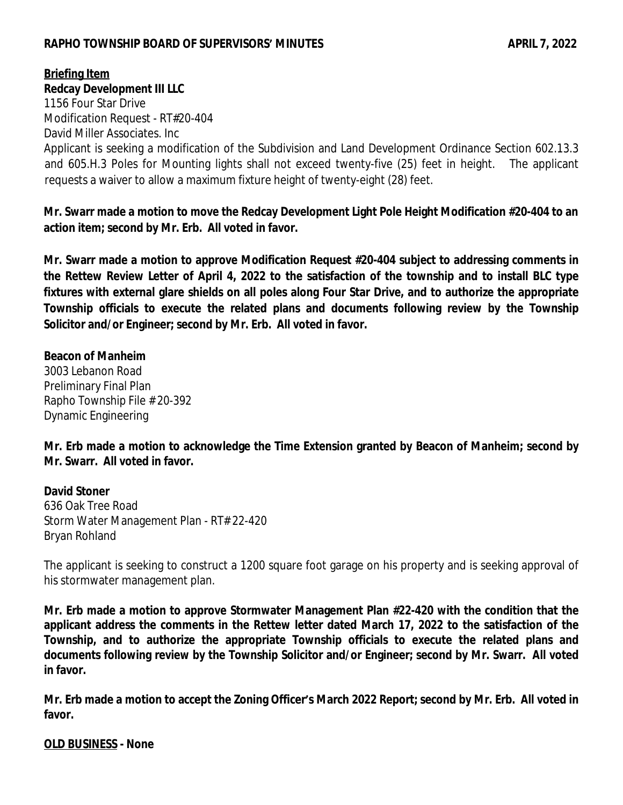### **RAPHO TOWNSHIP BOARD OF SUPERVISORS' MINUTES APRIL 7, 2022**

# **Briefing Item**

#### **Redcay Development III LLC**

1156 Four Star Drive Modification Request - RT#20-404 David Miller Associates. Inc

Applicant is seeking a modification of the Subdivision and Land Development Ordinance Section 602.13.3 and 605.H.3 Poles for Mounting lights shall not exceed twenty-five (25) feet in height. The applicant requests a waiver to allow a maximum fixture height of twenty-eight (28) feet.

**Mr. Swarr made a motion to move the Redcay Development Light Pole Height Modification #20-404 to an action item; second by Mr. Erb. All voted in favor.**

**Mr. Swarr made a motion to approve Modification Request #20-404 subject to addressing comments in** the Rettew Review Letter of April 4, 2022 to the satisfaction of the township and to install BLC type **fixtures with external glare shields on all poles along Four Star Drive, and to authorize the appropriate Township officials to execute the related plans and documents following review by the Township Solicitor and/or Engineer; second by Mr. Erb. All voted in favor.**

### **Beacon of Manheim**

3003 Lebanon Road Preliminary Final Plan Rapho Township File # 20-392 Dynamic Engineering

**Mr. Erb made a motion to acknowledge the Time Extension granted by Beacon of Manheim; second by Mr. Swarr. All voted in favor.**

### **David Stoner**

636 Oak Tree Road Storm Water Management Plan - RT# 22-420 Bryan Rohland

The applicant is seeking to construct a 1200 square foot garage on his property and is seeking approval of his stormwater management plan.

**Mr. Erb made a motion to approve Stormwater Management Plan #22-420 with the condition that the applicant address the comments in the Rettew letter dated March 17, 2022 to the satisfaction of the Township, and to authorize the appropriate Township officials to execute the related plans and documents following review by the Township Solicitor and/or Engineer; second by Mr. Swarr. All voted in favor.**

Mr. Erb made a motion to accept the Zoning Officer's March 2022 Report; second by Mr. Erb. All voted in **favor.**

**OLD BUSINESS - None**